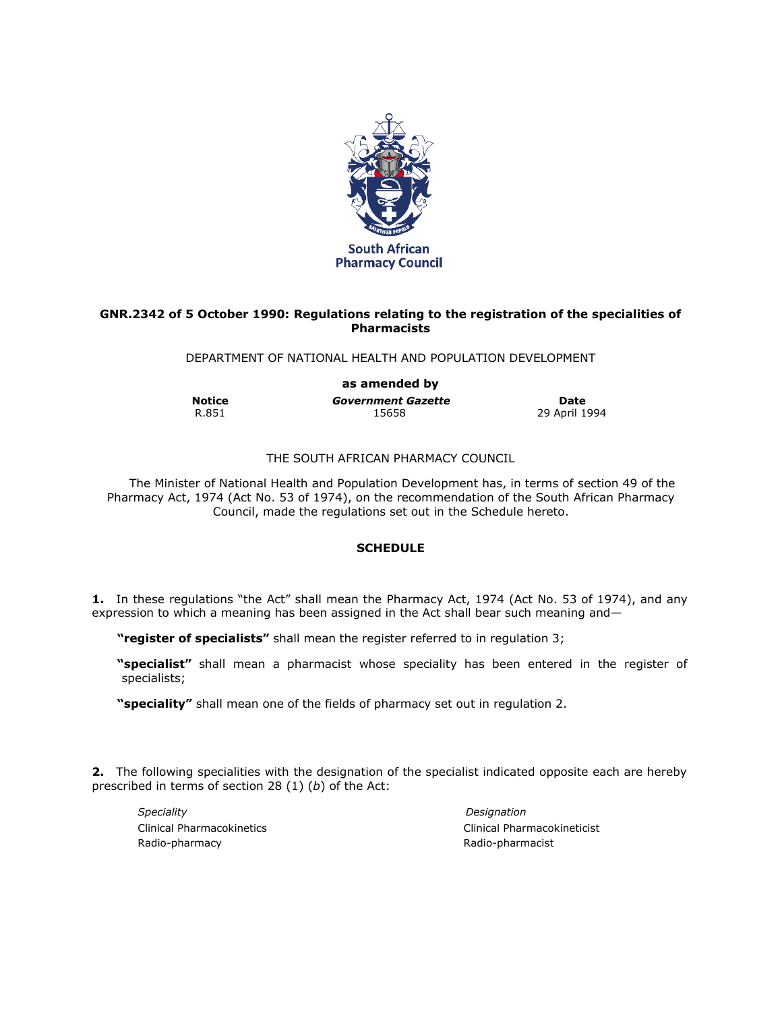

## **GNR.2342 of 5 October 1990: Regulations relating to the registration of the specialities of Pharmacists**

DEPARTMENT OF NATIONAL HEALTH AND POPULATION DEVELOPMENT

**as amended by Notice Date**<br> **Government Gazette Date**<br>
15658<br>
29 April 19

29 April 1994

## THE SOUTH AFRICAN PHARMACY COUNCIL

The Minister of National Health and Population Development has, in terms of section 49 of the Pharmacy Act, 1974 (Act No. 53 of 1974), on the recommendation of the South African Pharmacy Council, made the regulations set out in the Schedule hereto.

## **SCHEDULE**

**1.** In these regulations "the Act" shall mean the Pharmacy Act, 1974 (Act No. 53 of 1974), and any expression to which a meaning has been assigned in the Act shall bear such meaning and—

**"register of specialists"** shall mean the register referred to in regulation 3;

**"specialist"** shall mean a pharmacist whose speciality has been entered in the register of specialists;

**"speciality"** shall mean one of the fields of pharmacy set out in regulation 2.

**2.** The following specialities with the designation of the specialist indicated opposite each are hereby prescribed in terms of section 28 (1) (*b*) of the Act:

*Speciality Designation* Radio-pharmacy **Radio-pharmacist** Radio-pharmacist

Clinical Pharmacokinetics Clinical Pharmacokineticist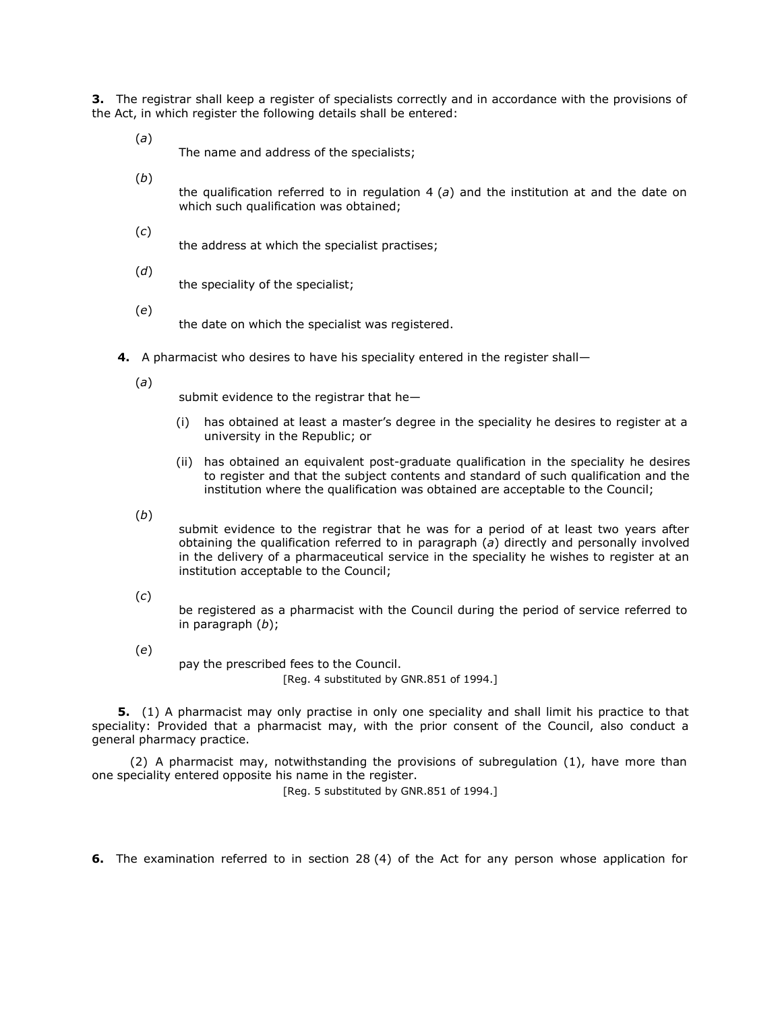**3.** The registrar shall keep a register of specialists correctly and in accordance with the provisions of the Act, in which register the following details shall be entered:

(*a*) The name and address of the specialists;

(*b*)

the qualification referred to in regulation 4 (*a*) and the institution at and the date on which such qualification was obtained;

(*c*)

the address at which the specialist practises;

(*d*)

the speciality of the specialist;

(*e*)

the date on which the specialist was registered.

**4.** A pharmacist who desires to have his speciality entered in the register shall—

(*a*)

submit evidence to the registrar that he—

- (i) has obtained at least a master's degree in the speciality he desires to register at a university in the Republic; or
- (ii) has obtained an equivalent post-graduate qualification in the speciality he desires to register and that the subject contents and standard of such qualification and the institution where the qualification was obtained are acceptable to the Council;

(*b*)

submit evidence to the registrar that he was for a period of at least two years after obtaining the qualification referred to in paragraph (*a*) directly and personally involved in the delivery of a pharmaceutical service in the speciality he wishes to register at an institution acceptable to the Council;

(*c*)

be registered as a pharmacist with the Council during the period of service referred to in paragraph (*b*);

(*e*)

pay the prescribed fees to the Council. [Reg. 4 substituted by GNR.851 of 1994.]

**5.** (1) A pharmacist may only practise in only one speciality and shall limit his practice to that speciality: Provided that a pharmacist may, with the prior consent of the Council, also conduct a general pharmacy practice.

(2) A pharmacist may, notwithstanding the provisions of subregulation (1), have more than one speciality entered opposite his name in the register.

[Reg. 5 substituted by GNR.851 of 1994.]

**6.** The examination referred to in section 28 (4) of the Act for any person whose application for